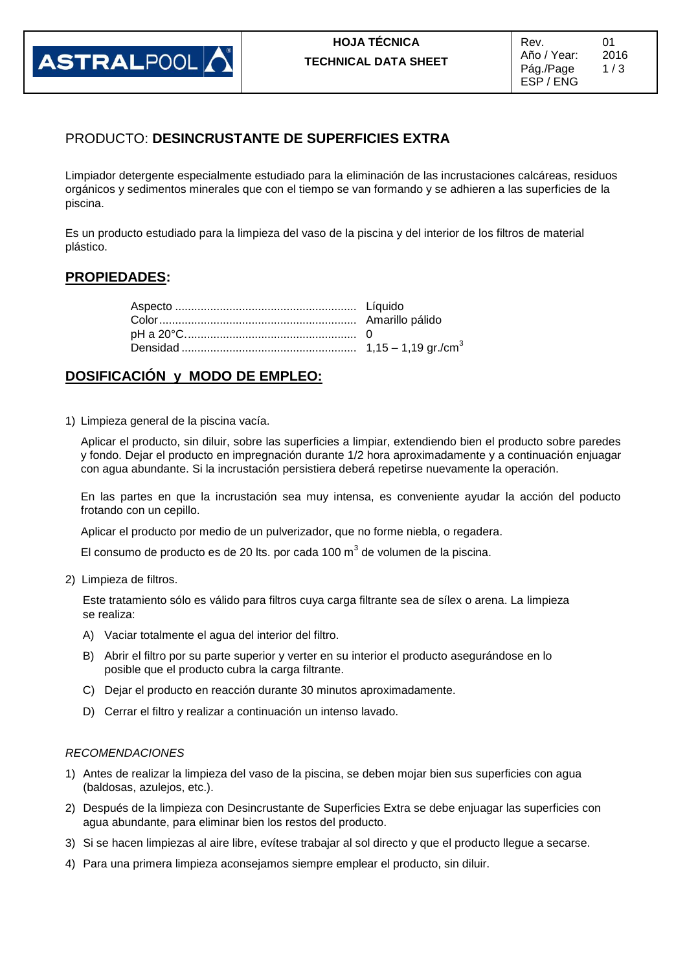

## PRODUCTO: **DESINCRUSTANTE DE SUPERFICIES EXTRA**

Limpiador detergente especialmente estudiado para la eliminación de las incrustaciones calcáreas, residuos orgánicos y sedimentos minerales que con el tiempo se van formando y se adhieren a las superficies de la piscina.

Es un producto estudiado para la limpieza del vaso de la piscina y del interior de los filtros de material plástico.

### **PROPIEDADES:**

### **DOSIFICACIÓN y MODO DE EMPLEO:**

1) Limpieza general de la piscina vacía.

Aplicar el producto, sin diluir, sobre las superficies a limpiar, extendiendo bien el producto sobre paredes y fondo. Dejar el producto en impregnación durante 1/2 hora aproximadamente y a continuación enjuagar con agua abundante. Si la incrustación persistiera deberá repetirse nuevamente la operación.

En las partes en que la incrustación sea muy intensa, es conveniente ayudar la acción del poducto frotando con un cepillo.

Aplicar el producto por medio de un pulverizador, que no forme niebla, o regadera.

El consumo de producto es de 20 lts. por cada 100 m $^3$  de volumen de la piscina.

2) Limpieza de filtros.

Este tratamiento sólo es válido para filtros cuya carga filtrante sea de sílex o arena. La limpieza se realiza:

- A) Vaciar totalmente el agua del interior del filtro.
- B) Abrir el filtro por su parte superior y verter en su interior el producto asegurándose en lo posible que el producto cubra la carga filtrante.
- C) Dejar el producto en reacción durante 30 minutos aproximadamente.
- D) Cerrar el filtro y realizar a continuación un intenso lavado.

#### *RECOMENDACIONES*

- 1) Antes de realizar la limpieza del vaso de la piscina, se deben mojar bien sus superficies con agua (baldosas, azulejos, etc.).
- 2) Después de la limpieza con Desincrustante de Superficies Extra se debe enjuagar las superficies con agua abundante, para eliminar bien los restos del producto.
- 3) Si se hacen limpiezas al aire libre, evítese trabajar al sol directo y que el producto llegue a secarse.
- 4) Para una primera limpieza aconsejamos siempre emplear el producto, sin diluir.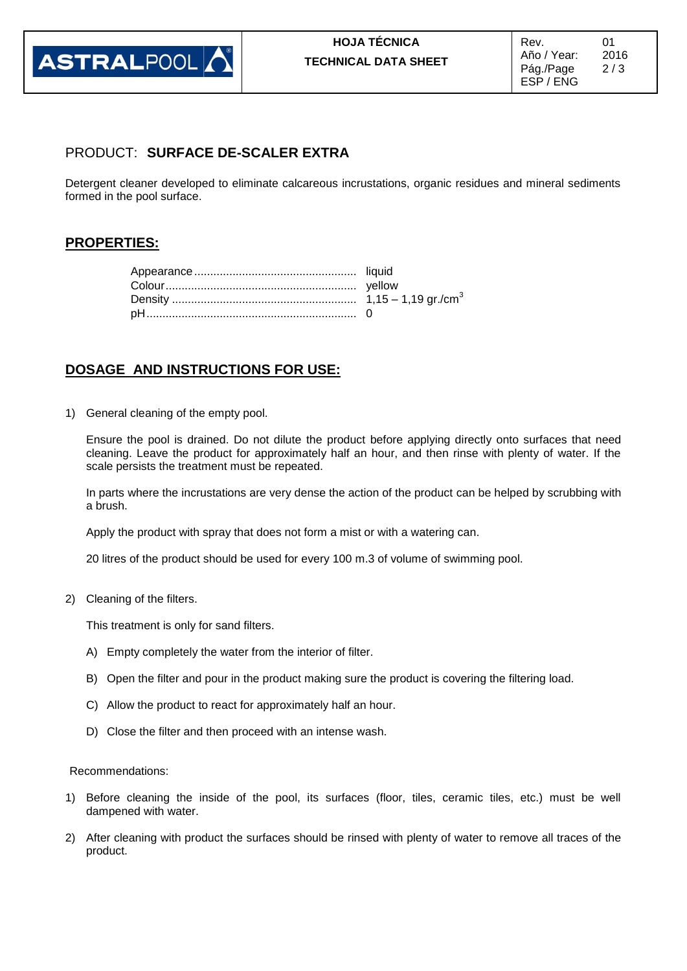

## PRODUCT: **SURFACE DE-SCALER EXTRA**

Detergent cleaner developed to eliminate calcareous incrustations, organic residues and mineral sediments formed in the pool surface.

## **PROPERTIES:**

# **DOSAGE AND INSTRUCTIONS FOR USE:**

1) General cleaning of the empty pool.

Ensure the pool is drained. Do not dilute the product before applying directly onto surfaces that need cleaning. Leave the product for approximately half an hour, and then rinse with plenty of water. If the scale persists the treatment must be repeated.

In parts where the incrustations are very dense the action of the product can be helped by scrubbing with a brush.

Apply the product with spray that does not form a mist or with a watering can.

20 litres of the product should be used for every 100 m.3 of volume of swimming pool.

2) Cleaning of the filters.

This treatment is only for sand filters.

- A) Empty completely the water from the interior of filter.
- B) Open the filter and pour in the product making sure the product is covering the filtering load.
- C) Allow the product to react for approximately half an hour.
- D) Close the filter and then proceed with an intense wash.

Recommendations:

- 1) Before cleaning the inside of the pool, its surfaces (floor, tiles, ceramic tiles, etc.) must be well dampened with water.
- 2) After cleaning with product the surfaces should be rinsed with plenty of water to remove all traces of the product.